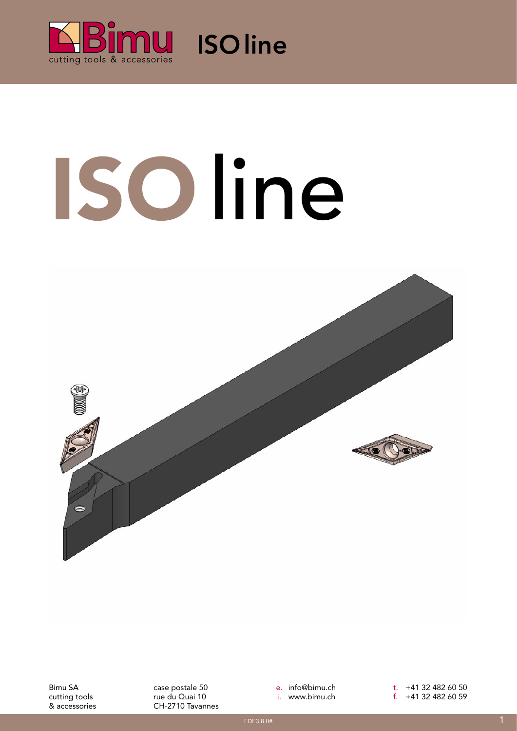

**ISO** line



Bimu SA cutting tools & accessories case postale 50 rue du Quai 10 CH-2710 Tavannes e. info@bimu.ch i. www.bimu.ch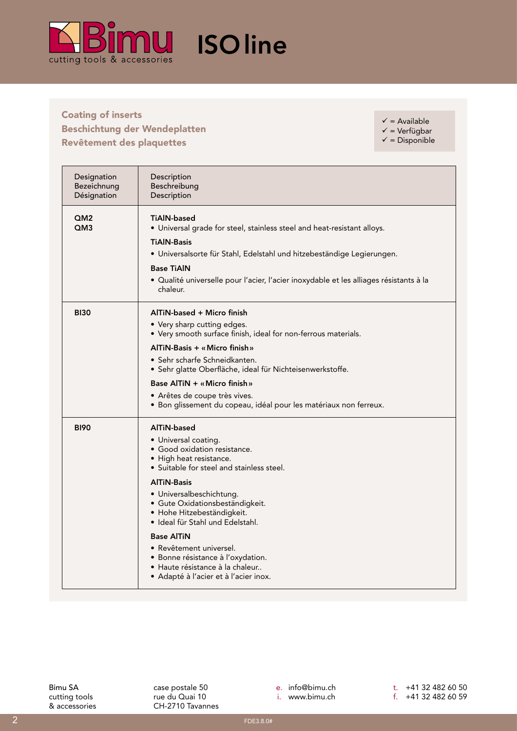

## Coating of inserts Beschichtung der Wendeplatten Revêtement des plaquettes

 $\checkmark$  = Available

 $\checkmark$  = Verfügbar

 $\checkmark$  = Disponible

| Designation<br>Bezeichnung<br>Désignation | Description<br>Beschreibung<br>Description                                                                                                                                                                                                                                                                                                                                                                                                                          |
|-------------------------------------------|---------------------------------------------------------------------------------------------------------------------------------------------------------------------------------------------------------------------------------------------------------------------------------------------------------------------------------------------------------------------------------------------------------------------------------------------------------------------|
| QM2<br>QM <sub>3</sub>                    | <b>TiAIN-based</b><br>• Universal grade for steel, stainless steel and heat-resistant alloys.<br><b>TiAIN-Basis</b><br>· Universalsorte für Stahl, Edelstahl und hitzebeständige Legierungen.<br><b>Base TIAIN</b><br>· Qualité universelle pour l'acier, l'acier inoxydable et les alliages résistants à la<br>chaleur.                                                                                                                                            |
| <b>BI30</b>                               | AlTiN-based + Micro finish<br>• Very sharp cutting edges.<br>• Very smooth surface finish, ideal for non-ferrous materials.<br>AlTiN-Basis + «Micro finish»<br>• Sehr scharfe Schneidkanten.<br>· Sehr glatte Oberfläche, ideal für Nichteisenwerkstoffe.<br>Base AlTiN + «Micro finish»<br>• Arêtes de coupe très vives.<br>· Bon glissement du copeau, idéal pour les matériaux non ferreux.                                                                      |
| <b>BI90</b>                               | AlTiN-based<br>· Universal coating.<br>• Good oxidation resistance.<br>• High heat resistance.<br>• Suitable for steel and stainless steel.<br><b>AlTiN-Basis</b><br>· Universalbeschichtung.<br>· Gute Oxidationsbeständigkeit.<br>· Hohe Hitzebeständigkeit.<br>· Ideal für Stahl und Edelstahl.<br><b>Base AlTiN</b><br>• Revêtement universel.<br>· Bonne résistance à l'oxydation.<br>• Haute résistance à la chaleur<br>· Adapté à l'acier et à l'acier inox. |

case postale 50 rue du Quai 10 CH-2710 Tavannes e. info@bimu.ch

i. www.bimu.ch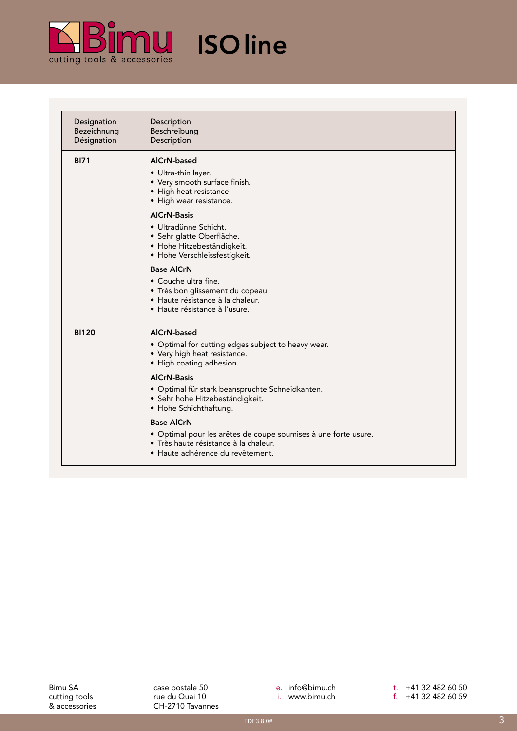

| Designation<br>Bezeichnung<br>Désignation | Description<br>Beschreibung<br>Description                                                                                                                                                                                                                           |
|-------------------------------------------|----------------------------------------------------------------------------------------------------------------------------------------------------------------------------------------------------------------------------------------------------------------------|
| <b>BI71</b>                               | AlCrN-based<br>· Ultra-thin layer.<br>• Very smooth surface finish.<br>• High heat resistance.<br>• High wear resistance.<br><b>AlCrN-Basis</b><br>• Ultradünne Schicht.<br>· Sehr glatte Oberfläche.<br>· Hohe Hitzebeständigkeit.<br>· Hohe Verschleissfestigkeit. |
|                                           | <b>Base AICrN</b><br>• Couche ultra fine.<br>· Très bon glissement du copeau.<br>· Haute résistance à la chaleur.<br>· Haute résistance à l'usure.                                                                                                                   |
| <b>BI120</b>                              | AlCrN-based<br>• Optimal for cutting edges subject to heavy wear.<br>• Very high heat resistance.<br>• High coating adhesion.<br><b>AlCrN-Basis</b><br>· Optimal für stark beanspruchte Schneidkanten.<br>· Sehr hohe Hitzebeständigkeit.<br>• Hohe Schichthaftung.  |
|                                           | <b>Base AICrN</b><br>· Optimal pour les arêtes de coupe soumises à une forte usure.<br>• Très haute résistance à la chaleur.<br>· Haute adhérence du revêtement.                                                                                                     |

case postale 50 rue du Quai 10 CH-2710 Tavannes e. info@bimu.ch i. www.bimu.ch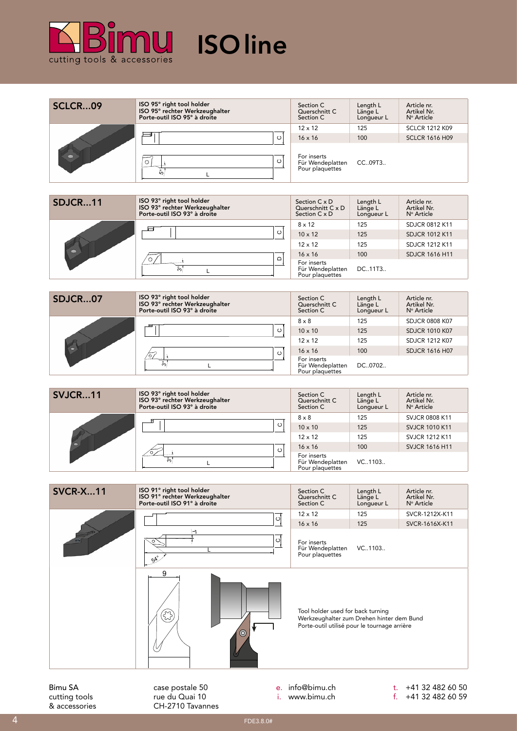

| <b>SCLCR09</b>                  | ISO 95° right tool holder<br>ISO 95° rechter Werkzeughalter<br>Porte-outil ISO 95° à droite |                    | Section C<br>Querschnitt C<br>Section C                                                                                        | Length L<br>Länge L<br>Longueur L | Article nr.<br>Artikel Nr.<br>Nº Article   |
|---------------------------------|---------------------------------------------------------------------------------------------|--------------------|--------------------------------------------------------------------------------------------------------------------------------|-----------------------------------|--------------------------------------------|
|                                 |                                                                                             |                    | $12 \times 12$                                                                                                                 | 125                               | <b>SCLCR 1212 K09</b>                      |
|                                 |                                                                                             | $\circ$            | $16 \times 16$                                                                                                                 | 100                               | <b>SCLCR 1616 H09</b>                      |
|                                 | $\circ$<br>Ŧ<br>$5^{\circ}$<br>L                                                            | $\circ$            | For inserts<br>Für Wendeplatten<br>Pour plaquettes                                                                             | CC.,09T3                          |                                            |
|                                 |                                                                                             |                    |                                                                                                                                |                                   |                                            |
| <b>SDJCR11</b>                  | ISO 93° right tool holder<br>ISO 93° rechter Werkzeughalter<br>Porte-outil ISO 93° à droite |                    | Section C x D<br>Querschnitt C x D<br>Section C x D                                                                            | Length L<br>Länge L<br>Longueur L | Article nr.<br>Artikel Nr.<br>Nº Article   |
|                                 | 曰                                                                                           |                    | $8 \times 12$                                                                                                                  | 125                               | <b>SDJCR 0812 K11</b>                      |
|                                 |                                                                                             | $\circ$            | $10 \times 12$                                                                                                                 | 125                               | <b>SDJCR 1012 K11</b>                      |
|                                 |                                                                                             |                    | $12 \times 12$                                                                                                                 | 125                               | <b>SDJCR 1212 K11</b>                      |
|                                 |                                                                                             | $\hfill \Box$      | $16 \times 16$                                                                                                                 | 100                               | <b>SDJCR 1616 H11</b>                      |
|                                 | o<br>္တို<br>L                                                                              |                    | For inserts<br>Für Wendeplatten<br>Pour plaquettes                                                                             | DC11T3                            |                                            |
|                                 |                                                                                             |                    |                                                                                                                                |                                   |                                            |
| <b>SDJCR07</b>                  | ISO 93° right tool holder<br>ISO 93° rechter Werkzeughalter<br>Porte-outil ISO 93° à droite |                    | Section C<br>Querschnitt C<br>Section C                                                                                        | Length L<br>Länge L<br>Longueur L | Article nr.<br>Artikel Nr.<br>Nº Article   |
|                                 |                                                                                             |                    | $8 \times 8$                                                                                                                   | 125                               | <b>SDJCR 0808 K07</b>                      |
|                                 |                                                                                             | $\circ$            | $10 \times 10$                                                                                                                 | 125                               | <b>SDJCR 1010 K07</b>                      |
|                                 |                                                                                             |                    | $12 \times 12$                                                                                                                 | 125                               | <b>SDJCR 1212 K07</b>                      |
|                                 |                                                                                             | $\circ$            | $16 \times 16$                                                                                                                 | 100                               | <b>SDJCR 1616 H07</b>                      |
|                                 | ္ကို<br>L                                                                                   |                    | For inserts<br>Für Wendeplatten<br>Pour plaquettes                                                                             | DC.,0702                          |                                            |
|                                 |                                                                                             |                    |                                                                                                                                |                                   |                                            |
| <b>SVJCR11</b>                  | ISO 93° right tool holder<br>ISO 93° rechter Werkzeughalter<br>Porte-outil ISO 93° à droite |                    | Section C<br>Querschnitt C<br>Section C                                                                                        | Length L<br>Länge L<br>Longueur L | Article nr.<br>Artikel Nr.<br>Nº Article   |
|                                 | 日                                                                                           |                    | $8 \times 8$                                                                                                                   | 125                               | <b>SVJCR 0808 K11</b>                      |
|                                 |                                                                                             | $\circ$            | $10 \times 10$                                                                                                                 | 125                               | <b>SVJCR 1010 K11</b>                      |
|                                 |                                                                                             |                    | $12 \times 12$                                                                                                                 | 125                               | <b>SVJCR 1212 K11</b>                      |
|                                 |                                                                                             | $\circ$            | $16 \times 16$                                                                                                                 | 100                               | <b>SVJCR 1616 H11</b>                      |
|                                 | ္ကို<br>Г                                                                                   |                    | For inserts<br>Für Wendeplatten<br>Pour plaquettes                                                                             | VC1103                            |                                            |
|                                 |                                                                                             |                    |                                                                                                                                |                                   |                                            |
| <b>SVCR-X11</b>                 | ISO 91° right tool holder<br>ISO 91° rechter Werkzeughalter<br>Porte-outil ISO 91° à droite |                    | Section C<br>Querschnitt C<br>Section C                                                                                        | Length L<br>Länge L<br>Longueur L | Article nr.<br>Artikel Nr.<br>Nº Article   |
|                                 |                                                                                             |                    | $12 \times 12$                                                                                                                 | 125                               | SVCR-1212X-K11                             |
|                                 |                                                                                             | $\overline{\circ}$ | $16 \times 16$                                                                                                                 | 125                               | SVCR-1616X-K11                             |
|                                 | $\mathsf{Sp}^\circ$                                                                         | C                  | For inserts<br>Für Wendeplatten<br>Pour plaquettes                                                                             | VC1103                            |                                            |
|                                 | 9<br>B<br>$\circledcirc$                                                                    |                    | Tool holder used for back turning<br>Werkzeughalter zum Drehen hinter dem Bund<br>Porte-outil utilisé pour le tournage arrière |                                   |                                            |
| <b>Bimu SA</b><br>cutting tools | case postale 50<br>rue du Quai 10                                                           | i.                 | e. info@bimu.ch<br>www.bimu.ch                                                                                                 | f.                                | +41 32 482 60 50<br>t.<br>+41 32 482 60 59 |

4 FDE3.8.0#

CH-2710 Tavannes

& accessories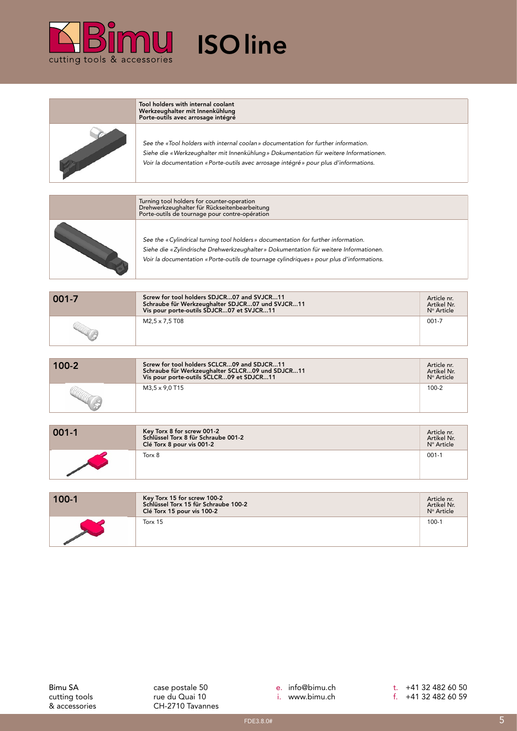

| Tool holders with internal coolant<br>Werkzeughalter mit Innenkühlung<br>Porte-outils avec arrosage intégré                                                                                                                                                           |
|-----------------------------------------------------------------------------------------------------------------------------------------------------------------------------------------------------------------------------------------------------------------------|
| See the «Tool holders with internal coolan» documentation for further information.<br>Siehe die «Werkzeughalter mit Innenkühlung » Dokumentation für weitere Informationen.<br>Voir la documentation « Porte-outils avec arrosage intégré » pour plus d'informations. |

| Turning tool holders for counter-operation<br>Drehwerkzeughalter für Rückseitenbearbeitung<br>Porte-outils de tournage pour contre-opération                                                                                                                           |
|------------------------------------------------------------------------------------------------------------------------------------------------------------------------------------------------------------------------------------------------------------------------|
| See the «Cylindrical turning tool holders» documentation for further information.<br>Siehe die «Zylindrische Drehwerkzeughalter» Dokumentation für weitere Informationen.<br>Voir la documentation « Porte-outils de tournage cylindriques » pour plus d'informations. |

| $001 - 7$ | Screw for tool holders SDJCR07 and SVJCR11<br>Schraube für Werkzeughalter SDJCR07 und SVJCR11<br>Vis pour porte-outils SDJCR07 et SVJCR11 | Article nr.<br>Artikel Nr.<br>N° Article |
|-----------|-------------------------------------------------------------------------------------------------------------------------------------------|------------------------------------------|
| WORK      | $M2.5 \times 7.5$ T08                                                                                                                     | 001-7                                    |

| $100 - 2$ | Screw for tool holders SCLCR09 and SDJCR11<br>Schraube für Werkzeughalter SCLCR09 und SDJCR11<br>Vis pour porte-outils SCLCR09 et SDJCR11 | Article nr.<br>Artikel Nr.<br>N° Article |
|-----------|-------------------------------------------------------------------------------------------------------------------------------------------|------------------------------------------|
|           | M3,5 x 9,0 T15                                                                                                                            | $100 - 2$                                |

| $001 - 1$ | Key Torx 8 for screw 001-2<br>Schlüssel Torx 8 für Schraube 001-2<br>Clé Torx 8 pour vis 001-2 | Article nr.<br>Artikel Nr.<br>N° Article |
|-----------|------------------------------------------------------------------------------------------------|------------------------------------------|
|           | Torx 8                                                                                         | $001-1$                                  |

| 100-1 | Key Torx 15 for screw 100-2<br>Schlüssel Torx 15 für Schraube 100-2<br>Clé Torx 15 pour vis 100-2 | Article nr.<br>Artikel Nr.<br>N° Article |
|-------|---------------------------------------------------------------------------------------------------|------------------------------------------|
|       | Torx 15                                                                                           | $100-1$                                  |

case postale 50 rue du Quai 10 CH-2710 Tavannes e. info@bimu.ch i. www.bimu.ch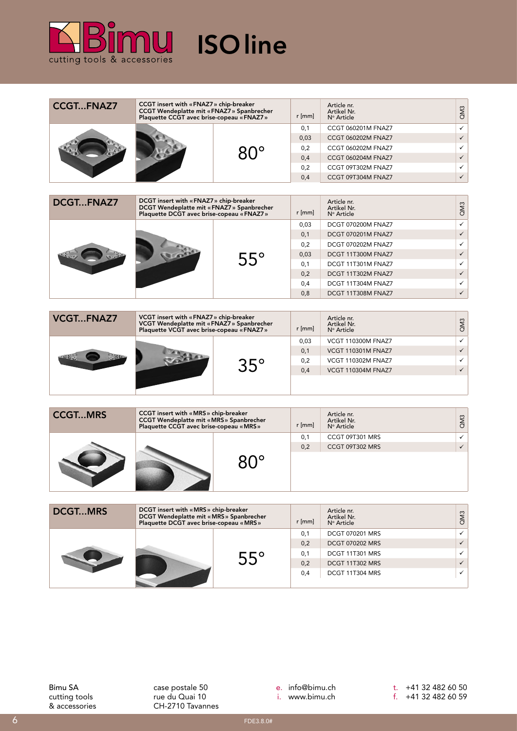

| <b>CCGTFNAZ7</b> | CCGT insert with «FNAZ7 » chip-breaker<br>CCGT Wendeplatte mit «FNAZ7 » Spanbrecher<br>Plaquette CCGT avec brise-copeau «FNAZ7 » |  | $r$ [mm] | Article nr.<br>Artikel Nr.<br>Nº Article | QM <sub>3</sub> |
|------------------|----------------------------------------------------------------------------------------------------------------------------------|--|----------|------------------------------------------|-----------------|
|                  |                                                                                                                                  |  | 0,1      | CCGT 060201M FNAZ7                       |                 |
|                  |                                                                                                                                  |  | 0,03     | CCGT 060202M FNAZ7                       |                 |
|                  |                                                                                                                                  |  | 0,2      | <b>CCGT 060202M FNAZ7</b>                |                 |
|                  |                                                                                                                                  |  | 0,4      | <b>CCGT 060204M FNAZ7</b>                |                 |
|                  |                                                                                                                                  |  | 0,2      | CCGT 09T302M FNAZ7                       |                 |
|                  |                                                                                                                                  |  | 0,4      | CCGT 09T304M FNAZ7                       |                 |

| DCGTFNAZ7 | DCGT insert with «FNAZ7» chip-breaker<br>DCGT Wendeplatte mit «FNAZ7» Spanbrecher<br>Plaquette DCGT avec brise-copeau «FNAZ7» |            | $r$ [mm] | Article nr.<br>Artikel Nr.<br>Nº Article | QM <sub>3</sub> |
|-----------|-------------------------------------------------------------------------------------------------------------------------------|------------|----------|------------------------------------------|-----------------|
|           |                                                                                                                               |            | 0,03     | DCGT 070200M FNAZ7                       | $\checkmark$    |
|           |                                                                                                                               | $55^\circ$ | 0,1      | <b>DCGT 070201M FNAZ7</b>                | $\checkmark$    |
|           |                                                                                                                               |            | 0,2      | DCGT 070202M FNAZ7                       | $\checkmark$    |
|           |                                                                                                                               |            | 0,03     | DCGT 11T300M FNAZ7                       | $\checkmark$    |
|           |                                                                                                                               |            | 0,1      | DCGT 11T301M FNAZ7                       | $\checkmark$    |
|           |                                                                                                                               |            | 0,2      | DCGT 11T302M FNAZ7                       | $\checkmark$    |
|           |                                                                                                                               |            | 0,4      | DCGT 11T304M FNAZ7                       | $\checkmark$    |
|           |                                                                                                                               |            | 0,8      | DCGT 11T308M FNAZ7                       | $\checkmark$    |

| <b>VCGTFNAZ7</b> | VCGT insert with «FNAZ7 » chip-breaker<br>VCGT Wendeplatte mit «FNAZ7 » Spanbrecher<br>Plaquette VCGT avec brise-copeau «FNAZ7 » |            | $r$ [mm] | Article nr.<br>Artikel Nr.<br>Nº Article | QM3          |
|------------------|----------------------------------------------------------------------------------------------------------------------------------|------------|----------|------------------------------------------|--------------|
|                  |                                                                                                                                  | $35^\circ$ | 0,03     | <b>VCGT 110300M FNAZ7</b>                | ✓            |
|                  |                                                                                                                                  |            | 0,1      | <b>VCGT 110301M FNAZ7</b>                |              |
|                  |                                                                                                                                  |            | 0,2      | <b>VCGT 110302M FNAZ7</b>                | ✓            |
|                  |                                                                                                                                  |            | 0,4      | <b>VCGT 110304M FNAZ7</b>                | $\checkmark$ |
|                  |                                                                                                                                  |            |          |                                          |              |

| <b>CCGTMRS</b> | CCGT insert with «MRS» chip-breaker<br>CCGT Wendeplatte mit «MRS» Spanbrecher<br>Plaquette CCGT avec brise-copeau «MRS» |  | $r$ [mm] | Article nr.<br>Artikel Nr.<br>Nº Article | QM3          |
|----------------|-------------------------------------------------------------------------------------------------------------------------|--|----------|------------------------------------------|--------------|
|                |                                                                                                                         |  | 0,1      | CCGT 09T301 MRS                          | ✓            |
|                |                                                                                                                         |  | 0,2      | CCGT 09T302 MRS                          | $\checkmark$ |
|                |                                                                                                                         |  |          |                                          |              |

| <b>DCGTMRS</b> | DCGT insert with « MRS » chip-breaker<br>DCGT Wendeplatte mit « MRS » Spanbrecher<br>Plaquette DCGT avec brise-copeau «MRS» |              | r [mm] | Article nr.<br>Artikel Nr.<br>N° Article | QM3          |
|----------------|-----------------------------------------------------------------------------------------------------------------------------|--------------|--------|------------------------------------------|--------------|
|                |                                                                                                                             | $55^{\circ}$ | 0,1    | <b>DCGT 070201 MRS</b>                   |              |
|                |                                                                                                                             |              | 0,2    | <b>DCGT 070202 MRS</b>                   |              |
|                |                                                                                                                             |              | 0,1    | DCGT 11T301 MRS                          |              |
|                |                                                                                                                             |              | 0,2    | DCGT 11T302 MRS                          | $\checkmark$ |
|                |                                                                                                                             |              | 0,4    | DCGT 11T304 MRS                          | ✓            |
|                |                                                                                                                             |              |        |                                          |              |

Bimu SA cutting tools & accessories case postale 50 rue du Quai 10 CH-2710 Tavannes e. info@bimu.ch i. www.bimu.ch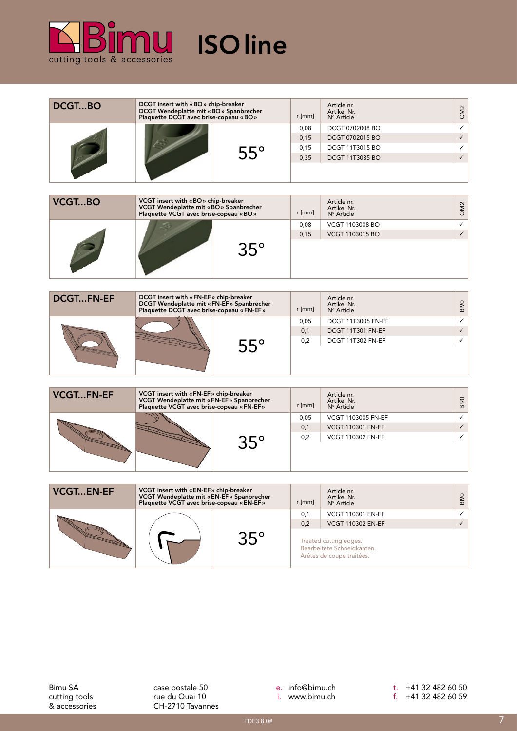

| DCGTBO | DCGT insert with «BO» chip-breaker<br>DCGT Wendeplatte mit « BO » Spanbrecher<br>Plaquette DCGT avec brise-copeau «BO» |              | $r$ [mm] | Article nr.<br>Artikel Nr.<br>Nº Article | QM <sub>2</sub> |
|--------|------------------------------------------------------------------------------------------------------------------------|--------------|----------|------------------------------------------|-----------------|
|        |                                                                                                                        |              | 0,08     | DCGT 0702008 BO                          |                 |
|        |                                                                                                                        |              | 0,15     | DCGT 0702015 BO                          |                 |
|        |                                                                                                                        | $55^{\circ}$ | 0,15     | <b>DCGT 11T3015 BO</b>                   |                 |
|        |                                                                                                                        |              | 0,35     | <b>DCGT 11T3035 BO</b>                   |                 |
|        |                                                                                                                        |              |          |                                          |                 |

| VCGTBO | VCGT insert with «BO» chip-breaker<br>VCGT Wendeplatte mit «BO» Spanbrecher<br>Plaquette VCGT avec brise-copeau «BO» |     | $r$ [mm] | Article nr.<br>Artikel Nr.<br>Nº Article | QM2          |
|--------|----------------------------------------------------------------------------------------------------------------------|-----|----------|------------------------------------------|--------------|
|        |                                                                                                                      |     | 0,08     | VCGT 1103008 BO                          |              |
|        |                                                                                                                      |     | 0,15     | <b>VCGT 1103015 BO</b>                   | $\checkmark$ |
|        |                                                                                                                      | 35° |          |                                          |              |

| <b>DCGTFN-EF</b> | DCGT insert with «FN-EF» chip-breaker<br>DCGT Wendeplatte mit «FN-EF» Spanbrecher<br>Plaquette DCGT avec brise-copeau «FN-EF» |            | $r$ [mm] | Article nr.<br>Artikel Nr.<br>Nº Article | BI90 |
|------------------|-------------------------------------------------------------------------------------------------------------------------------|------------|----------|------------------------------------------|------|
|                  |                                                                                                                               |            | 0,05     | <b>DCGT 11T3005 FN-EF</b>                |      |
|                  |                                                                                                                               |            | 0,1      | DCGT 11T301 FN-EF                        |      |
|                  |                                                                                                                               | $55^\circ$ | 0,2      | DCGT 11T302 FN-EF                        |      |

| <b>VCGTFN-EF</b> | VCGT insert with «FN-EF» chip-breaker<br>VCGT Wendeplatte mit «FN-EF» Spanbrecher<br>Plaquette VCGT avec brise-copeau «FN-EF» |            | $r$ [mm] | Article nr.<br>Artikel Nr.<br>N° Article | <b>BIPO</b> |
|------------------|-------------------------------------------------------------------------------------------------------------------------------|------------|----------|------------------------------------------|-------------|
|                  |                                                                                                                               |            | 0,05     | <b>VCGT 1103005 FN-EF</b>                |             |
|                  |                                                                                                                               |            | 0,1      | <b>VCGT 110301 FN-EF</b>                 |             |
|                  |                                                                                                                               | $35^\circ$ | 0,2      | <b>VCGT 110302 FN-EF</b>                 |             |

| <b>VCGTEN-EF</b> | VCGT insert with «EN-EF» chip-breaker<br>VCGT Wendeplatte mit «EN-EF» Spanbrecher<br>Plaquette VCGT avec brise-copeau « EN-EF » |              | $r$ [mm] | Article nr.<br>Artikel Nr.<br>Nº Article                                          | <b>BIPO</b> |
|------------------|---------------------------------------------------------------------------------------------------------------------------------|--------------|----------|-----------------------------------------------------------------------------------|-------------|
|                  |                                                                                                                                 |              | 0,1      | <b>VCGT 110301 EN-EF</b>                                                          |             |
|                  |                                                                                                                                 |              | 0,2      | <b>VCGT 110302 EN-EF</b>                                                          |             |
|                  |                                                                                                                                 | $35^{\circ}$ |          | Treated cutting edges.<br>Bearbeitete Schneidkanten.<br>Arêtes de coupe traitées. |             |

Bimu SA cutting tools & accessories case postale 50 rue du Quai 10 CH-2710 Tavannes e. info@bimu.ch i. www.bimu.ch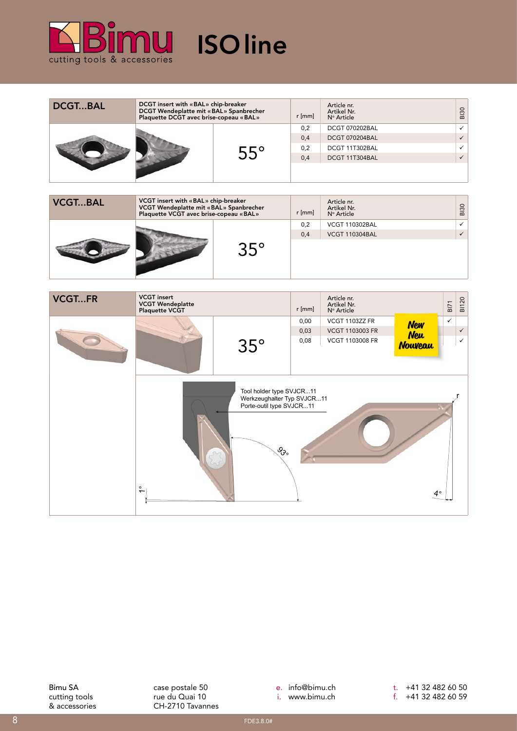

| <b>DCGTBAL</b> | DCGT insert with «BAL» chip-breaker<br>DCGT Wendeplatte mit « BAL » Spanbrecher<br>Plaquette DCGT avec brise-copeau «BAL» |              | $r$ [mm] | Article nr.<br>Artikel Nr.<br>Nº Article | <b>BI30</b>  |
|----------------|---------------------------------------------------------------------------------------------------------------------------|--------------|----------|------------------------------------------|--------------|
|                |                                                                                                                           | $55^{\circ}$ | 0,2      | <b>DCGT 070202BAL</b>                    | $\checkmark$ |
|                |                                                                                                                           |              | 0,4      | DCGT 070204BAL                           | $\checkmark$ |
|                |                                                                                                                           |              | 0,2      | DCGT 11T302BAL                           | ✓            |
|                |                                                                                                                           |              | 0,4      | DCGT 11T304BAL                           | $\checkmark$ |
|                |                                                                                                                           |              |          |                                          |              |

| <b>VCGTBAL</b> | VCGT insert with «BAL» chip-breaker<br>VCGT Wendeplatte mit «BAL» Spanbrecher<br>Plaquette VCGT avec brise-copeau «BAL» |              | $r$ [mm] | Article nr.<br>Artikel Nr.<br>Nº Article | <b>BI30</b> |
|----------------|-------------------------------------------------------------------------------------------------------------------------|--------------|----------|------------------------------------------|-------------|
|                |                                                                                                                         |              | 0,2      | <b>VCGT 110302BAL</b>                    |             |
|                |                                                                                                                         |              | 0,4      | <b>VCGT 110304BAL</b>                    |             |
|                |                                                                                                                         | $35^{\circ}$ |          |                                          |             |

| <b>VCGTFR</b> | <b>VCGT</b> insert<br><b>VCGT Wendeplatte</b><br>Plaquette VCGT |                                                                                           | $r$ [mm] | Article nr.<br>Artikel Nr.<br>Nº Article |                | <b>BI71</b>  | <b>BI120</b> |
|---------------|-----------------------------------------------------------------|-------------------------------------------------------------------------------------------|----------|------------------------------------------|----------------|--------------|--------------|
|               |                                                                 |                                                                                           | 0,00     | VCGT 1103ZZ FR                           | <b>New</b>     | $\checkmark$ |              |
|               |                                                                 |                                                                                           | 0,03     | VCGT 1103003 FR                          | <b>New</b>     |              | $\checkmark$ |
|               | $35^\circ$                                                      |                                                                                           | 0,08     | VCGT 1103008 FR                          | <b>Nouveau</b> |              | ✓            |
|               | $\circ$<br>$\overline{ }$                                       | Tool holder type SVJCR11<br>Werkzeughalter Typ SVJCR11<br>Porte-outil type SVJCR11<br>್ಳೊ |          |                                          | $4^\circ$      |              |              |

case postale 50 rue du Quai 10 CH-2710 Tavannes e. info@bimu.ch i. www.bimu.ch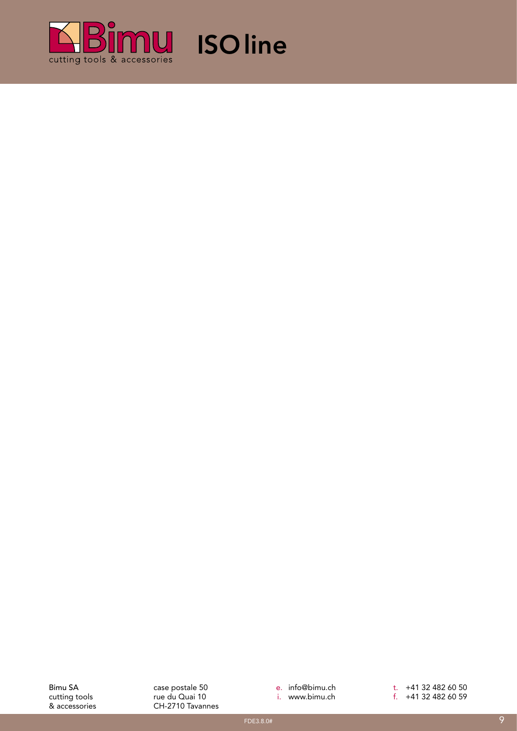

Bimu SA cutting tools & accessories case postale 50 rue du Quai 10 CH-2710 Tavannes e. info@bimu.ch

i. www.bimu.ch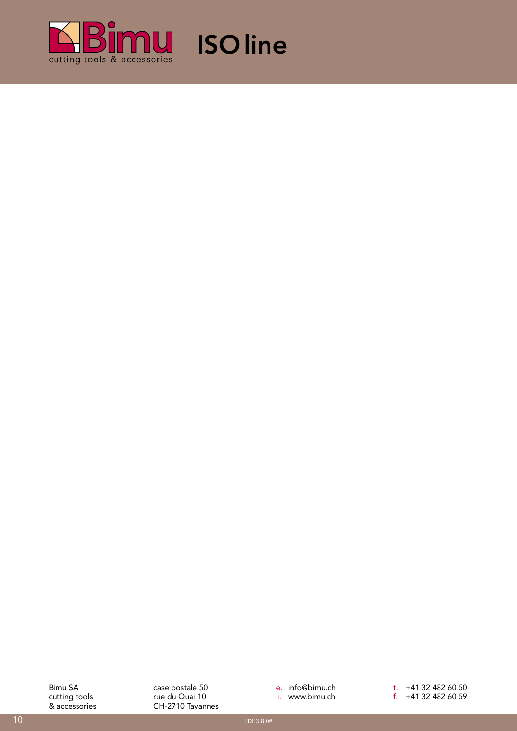

Bimu SA cutting tools & accessories case postale 50 rue du Quai 10 CH-2710 Tavannes e. info@bimu.ch i. www.bimu.ch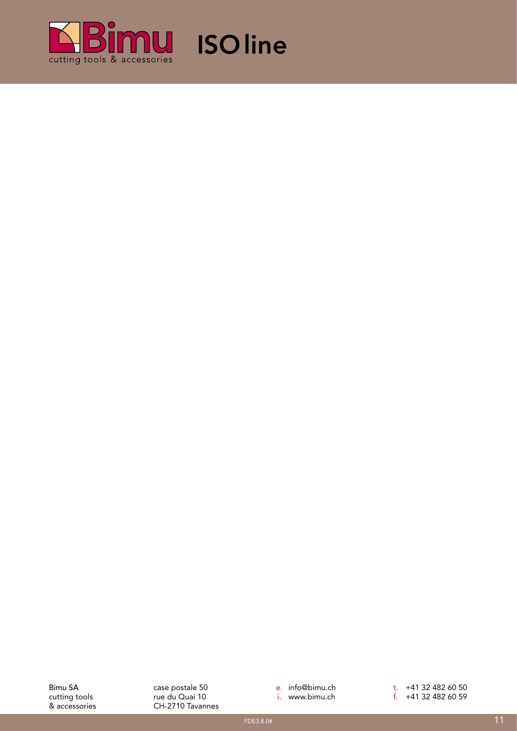

Bimu SA cutting tools & accessories case postale 50 rue du Quai 10 CH-2710 Tavannes e. info@bimu.ch

i. www.bimu.ch